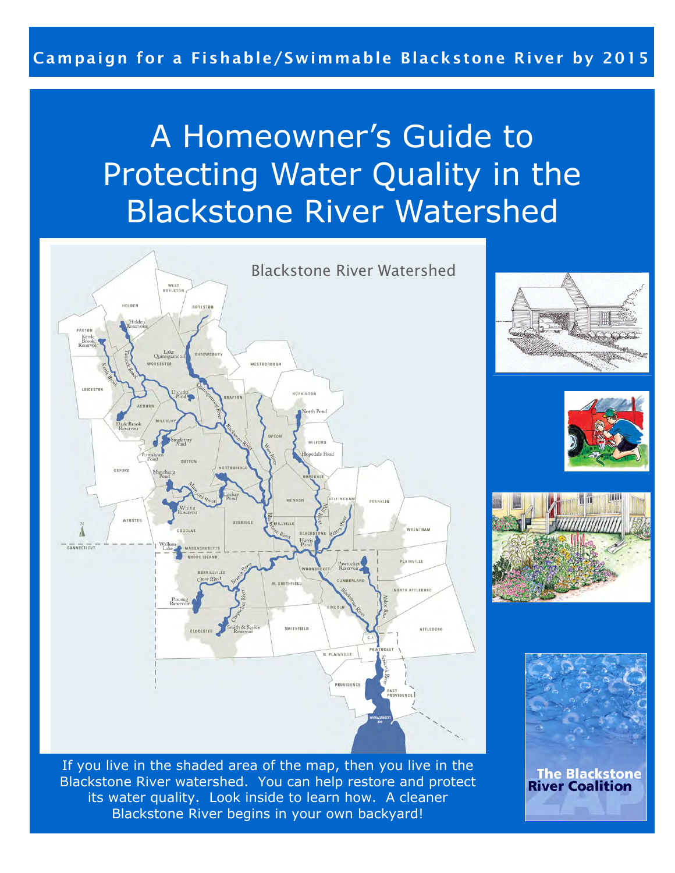# A Homeowner's Guide to Protecting Water Quality in the Blackstone River Watershed



TINH

**The Blackstone River Coalition** 

If you live in the shaded area of the map, then you live in the Blackstone River watershed. You can help restore and protect its water quality. Look inside to learn how. A cleaner Blackstone River begins in your own backyard!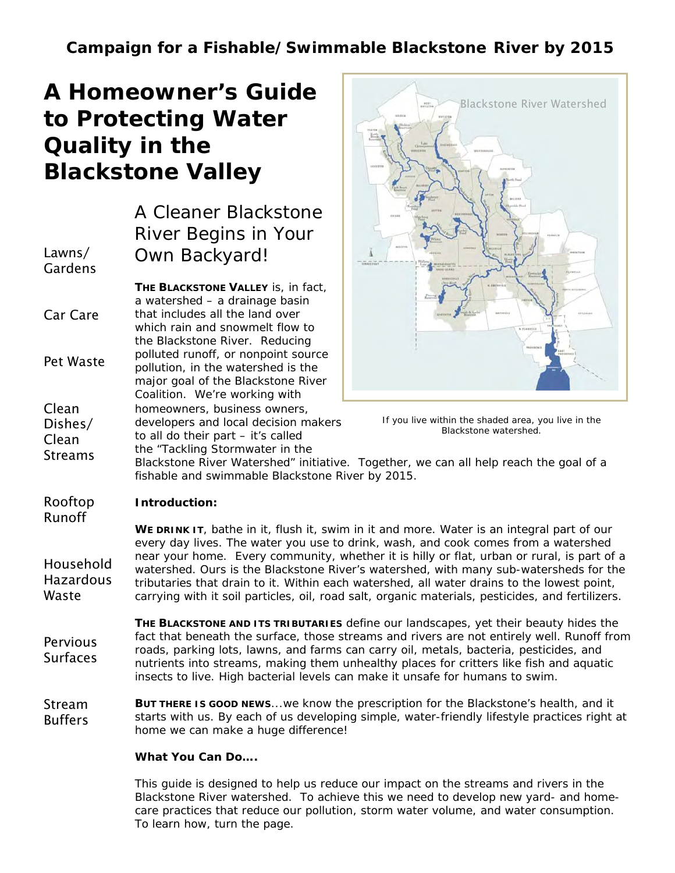## $\overline{a}$  **to Protecting Water**   $\overline{a}$ **A Homeowner's Guide Quality in the Blackstone Valley**

|                                      | A Cleaner Blackstone<br>River Begins in Your                                                                                                                                             |  |
|--------------------------------------|------------------------------------------------------------------------------------------------------------------------------------------------------------------------------------------|--|
| Lawns/<br>Gardens                    | Own Backyard!                                                                                                                                                                            |  |
|                                      | <b>THE BLACKSTONE VALLEY</b> is, in fact,<br>a watershed - a drainage basin                                                                                                              |  |
| Car Care                             | that includes all the land over<br>which rain and snowmelt flow to<br>the Blackstone River. Reducing                                                                                     |  |
| Pet Waste                            | polluted runoff, or nonpoint source<br>pollution, in the watershed is the<br>major goal of the Blackstone River<br>Coalition. We're working with                                         |  |
| Clean<br>Dishes/<br>Clean<br>Streams | homeowners, business owners,<br>developers and local decision makers<br>to all do their part - it's called<br>the "Tackling Stormwater in the<br>Blackstone River Watershed" initiative. |  |





Together, we can all help reach the goal of a fishable and swimmable Blackstone River by 2015.

#### **Introduction:**  Rooftop

Runoff

Household **Hazardous** Waste

WE DRINK IT, bathe in it, flush it, swim in it and more. Water is an integral part of our every day lives. The water you use to drink, wash, and cook comes from a watershed near your home. Every community, whether it is hilly or flat, urban or rural, is part of a watershed. Ours is the Blackstone River's watershed, with many sub-watersheds for the tributaries that drain to it. Within each watershed, all water drains to the lowest point, carrying with it soil particles, oil, road salt, organic materials, pesticides, and fertilizers.

**THE BLACKSTONE AND ITS TRIBUTARIES** define our landscapes, yet their beauty hides the fact that beneath the surface, those streams and rivers are not entirely well. Runoff from roads, parking lots, lawns, and farms can carry oil, metals, bacteria, pesticides, and nutrients into streams, making them unhealthy places for critters like fish and aquatic insects to live. High bacterial levels can make it unsafe for humans to swim. **Pervious Surfaces** 

**BUT THERE IS GOOD NEWS**...we know the prescription for the Blackstone's health, and it starts with us. By each of us developing simple, water-friendly lifestyle practices right at home we can make a huge difference! Stream Buffers

#### **What You Can Do….**

This guide is designed to help us reduce our impact on the streams and rivers in the Blackstone River watershed. To achieve this we need to develop new yard- and homecare practices that reduce our pollution, storm water volume, and water consumption. To learn how, turn the page.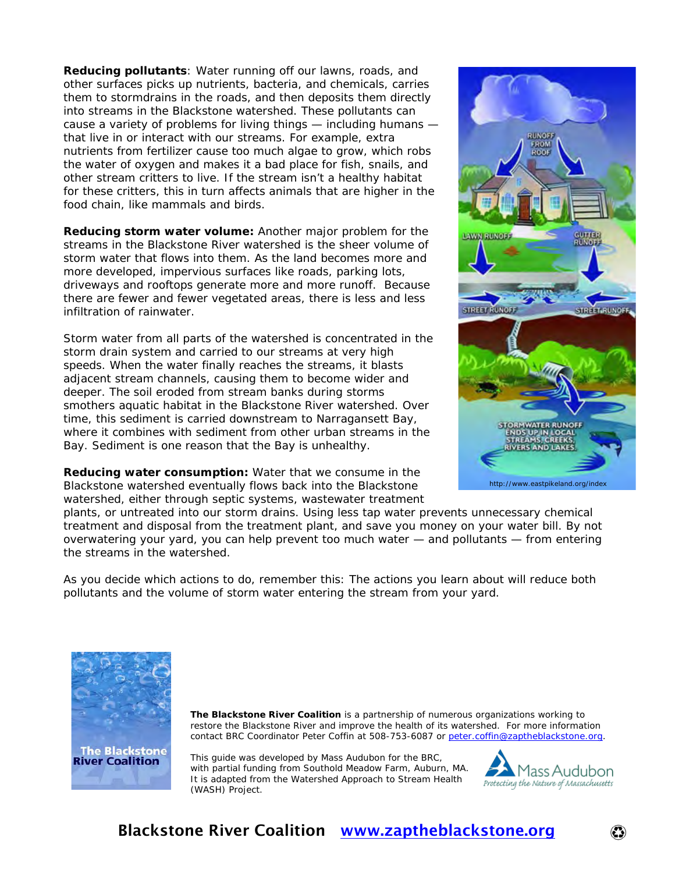**Reducing pollutants**: Water running off our lawns, roads, and other surfaces picks up nutrients, bacteria, and chemicals, carries them to stormdrains in the roads, and then deposits them directly into streams in the Blackstone watershed. These pollutants can cause a variety of problems for living things — including humans that live in or interact with our streams. For example, extra nutrients from fertilizer cause too much algae to grow, which robs the water of oxygen and makes it a bad place for fish, snails, and other stream critters to live. If the stream isn't a healthy habitat for these critters, this in turn affects animals that are higher in the food chain, like mammals and birds.

**Reducing storm water volume:** Another major problem for the streams in the Blackstone River watershed is the sheer volume of storm water that flows into them. As the land becomes more and more developed, impervious surfaces like roads, parking lots, driveways and rooftops generate more and more runoff. Because there are fewer and fewer vegetated areas, there is less and less infiltration of rainwater.

Storm water from all parts of the watershed is concentrated in the storm drain system and carried to our streams at very high speeds. When the water finally reaches the streams, it blasts adjacent stream channels, causing them to become wider and deeper. The soil eroded from stream banks during storms smothers aquatic habitat in the Blackstone River watershed. Over time, this sediment is carried downstream to Narragansett Bay, where it combines with sediment from other urban streams in the Bay. Sediment is one reason that the Bay is unhealthy.

**Reducing water consumption:** Water that we consume in the Blackstone watershed eventually flows back into the Blackstone watershed, either through septic systems, wastewater treatment



plants, or untreated into our storm drains. Using less tap water prevents unnecessary chemical treatment and disposal from the treatment plant, and save you money on your water bill. By not overwatering your yard, you can help prevent too much water — and pollutants — from entering the streams in the watershed.

As you decide which actions to do, remember this: The actions you learn about will reduce both pollutants and the volume of storm water entering the stream from your yard.



**The Blackstone River Coalition** is a partnership of numerous organizations working to restore the Blackstone River and improve the health of its watershed. For more information contact BRC Coordinator Peter Coffin at 508-753-6087 or [peter.coffin@zaptheblackstone.org.](mailto:peter.coffin@zaptheblackstone.org)

This guide was developed by Mass Audubon for the BRC, with partial funding from Southold Meadow Farm, Auburn, MA. It is adapted from the Watershed Approach to Stream Health (WASH) Project.



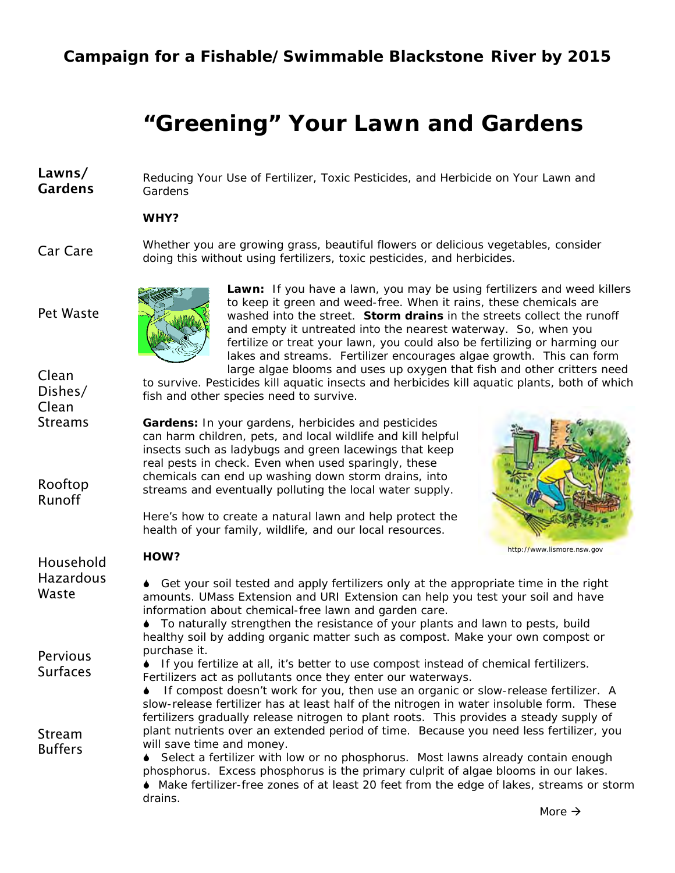# **"Greening" Your Lawn and Gardens**

Lawns/ Gardens Reducing Your Use of Fertilizer, Toxic Pesticides, and Herbicide on Your Lawn and **Gardens** 

**WHY?** 

Car Care Whether you are growing grass, beautiful flowers or delicious vegetables, consider doing this without using fertilizers, toxic pesticides, and herbicides.



**Lawn:** If you have a lawn, you may be using fertilizers and weed killers to keep it green and weed-free. When it rains, these chemicals are washed into the street. **Storm drains** in the streets collect the runoff and empty it untreated into the nearest waterway. So, when you fertilize or treat your lawn, you could also be fertilizing or harming our lakes and streams. Fertilizer encourages algae growth. This can form large algae blooms and uses up oxygen that fish and other critters need

to survive. Pesticides kill aquatic insects and herbicides kill aquatic plants, both of which fish and other species need to survive.

**Gardens:** In your gardens, herbicides and pesticides can harm children, pets, and local wildlife and kill helpful insects such as ladybugs and green lacewings that keep real pests in check. Even when used sparingly, these chemicals can end up washing down storm drains, into streams and eventually polluting the local water supply.

> Here's how to create a natural lawn and help protect the health of your family, wildlife, and our local resources.

Fertilizers act as pollutants once they enter our waterways.



http://www.lismore.nsw.gov

| Household | HOW? |
|-----------|------|
|-----------|------|

Pet Waste

Clean Dishes/ Clean **Streams** 

Rooftop Runoff

Hazardous 6 Get your soil tested and apply fertilizers only at the appropriate time in the right amounts. UMass Extension and URI Extension can help you test your soil and have

information about chemical-free lawn and garden care. 6 To naturally strengthen the resistance of your plants and lawn to pests, build healthy soil by adding organic matter such as compost. Make your own compost or purchase it.

6 If you fertilize at all, it's better to use compost instead of chemical fertilizers.

**Pervious** Surfaces

Waste

Stream **Buffers** 

If compost doesn't work for you, then use an organic or slow-release fertilizer. A slow-release fertilizer has at least half of the nitrogen in water insoluble form. These fertilizers gradually release nitrogen to plant roots. This provides a steady supply of plant nutrients over an extended period of time. Because you need less fertilizer, you will save time and money. ◆ Select a fertilizer with low or no phosphorus. Most lawns already contain enough

phosphorus. Excess phosphorus is the primary culprit of algae blooms in our lakes. 6 Make fertilizer-free zones of at least 20 feet from the edge of lakes, streams or storm drains.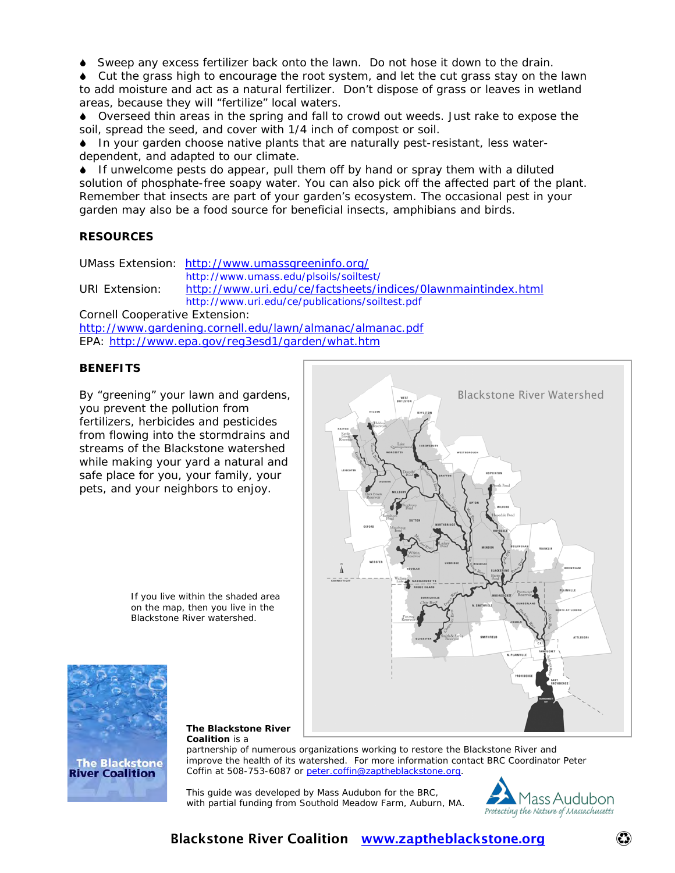6 Sweep any excess fertilizer back onto the lawn. Do not hose it down to the drain.

6 Cut the grass high to encourage the root system, and let the cut grass stay on the lawn to add moisture and act as a natural fertilizer. Don't dispose of grass or leaves in wetland areas, because they will "fertilize" local waters.

6 Overseed thin areas in the spring and fall to crowd out weeds. Just rake to expose the soil, spread the seed, and cover with 1/4 inch of compost or soil.

6 In your garden choose native plants that are naturally pest-resistant, less waterdependent, and adapted to our climate.

6 If unwelcome pests do appear, pull them off by hand or spray them with a diluted solution of phosphate-free soapy water. You can also pick off the affected part of the plant. Remember that insects are part of your garden's ecosystem. The occasional pest in your garden may also be a food source for beneficial insects, amphibians and birds.

#### **RESOURCES**

UMass Extension: <http://www.umassgreeninfo.org/>

http://www.umass.edu/plsoils/soiltest/

URI Extension: <http://www.uri.edu/ce/factsheets/indices/0lawnmaintindex.html> http://www.uri.edu/ce/publications/soiltest.pdf

Cornell Cooperative Extension:

<http://www.gardening.cornell.edu/lawn/almanac/almanac.pdf> EPA:<http://www.epa.gov/reg3esd1/garden/what.htm>

#### **BENEFITS**

By "greening" your lawn and gardens, you prevent the pollution from fertilizers, herbicides and pesticides from flowing into the stormdrains and streams of the Blackstone watershed while making your yard a natural and safe place for you, your family, your pets, and your neighbors to enjoy.

> If you live within the shaded area on the map, then you live in the Blackstone River watershed.





**The Blackstone River Coalition** is a

partnership of numerous organizations working to restore the Blackstone River and improve the health of its watershed. For more information contact BRC Coordinator Peter Coffin at 508-753-6087 or [peter.coffin@zaptheblackstone.org](mailto:peter.coffin@zaptheblackstone.org).

This guide was developed by Mass Audubon for the BRC, with partial funding from Southold Meadow Farm, Auburn, MA.

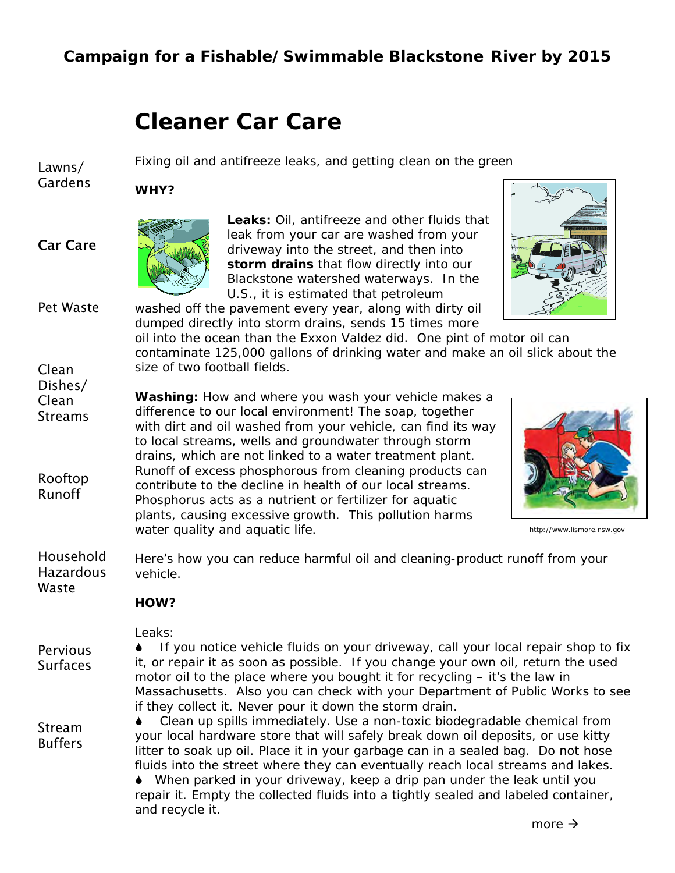Fixing oil and antifreeze leaks, and getting clean on the green

# **Cleaner Car Care**

Lawns/ Gardens

Car Care

Clean Dishes/ **WHY?** 



**Leaks:** Oil, antifreeze and other fluids that leak from your car are washed from your driveway into the street, and then into **storm drains** that flow directly into our Blackstone watershed waterways. In the U.S., it is estimated that petroleum



Pet Waste washed off the pavement every year, along with dirty oil dumped directly into storm drains, sends 15 times more

oil into the ocean than the Exxon Valdez did. One pint of motor oil can contaminate 125,000 gallons of drinking water and make an oil slick about the size of two football fields.

Clean **Streams** Rooftop Runoff **Washing:** How and where you wash your vehicle makes a difference to our local environment! The soap, together with dirt and oil washed from your vehicle, can find its way to local streams, wells and groundwater through storm drains, which are not linked to a water treatment plant. Runoff of excess phosphorous from cleaning products can contribute to the decline in health of our local streams. Phosphorus acts as a nutrient or fertilizer for aquatic plants, causing excessive growth. This pollution harms water quality and aquatic life. **http://www.lismore.nsw.gov** 



Household Hazardous Waste Here's how you can reduce harmful oil and cleaning-product runoff from your vehicle.

#### **HOW?**

Leaks:

Pervious Surfaces

Stream Buffers 6 If you notice vehicle fluids on your driveway, call your local repair shop to fix it, or repair it as soon as possible. If you change your own oil, return the used motor oil to the place where you bought it for recycling – it's the law in Massachusetts. Also you can check with your Department of Public Works to see if they collect it. Never pour it down the storm drain.

6 Clean up spills immediately. Use a non-toxic biodegradable chemical from your local hardware store that will safely break down oil deposits, or use kitty litter to soak up oil. Place it in your garbage can in a sealed bag. Do not hose fluids into the street where they can eventually reach local streams and lakes. 6 When parked in your driveway, keep a drip pan under the leak until you repair it. Empty the collected fluids into a tightly sealed and labeled container, and recycle it.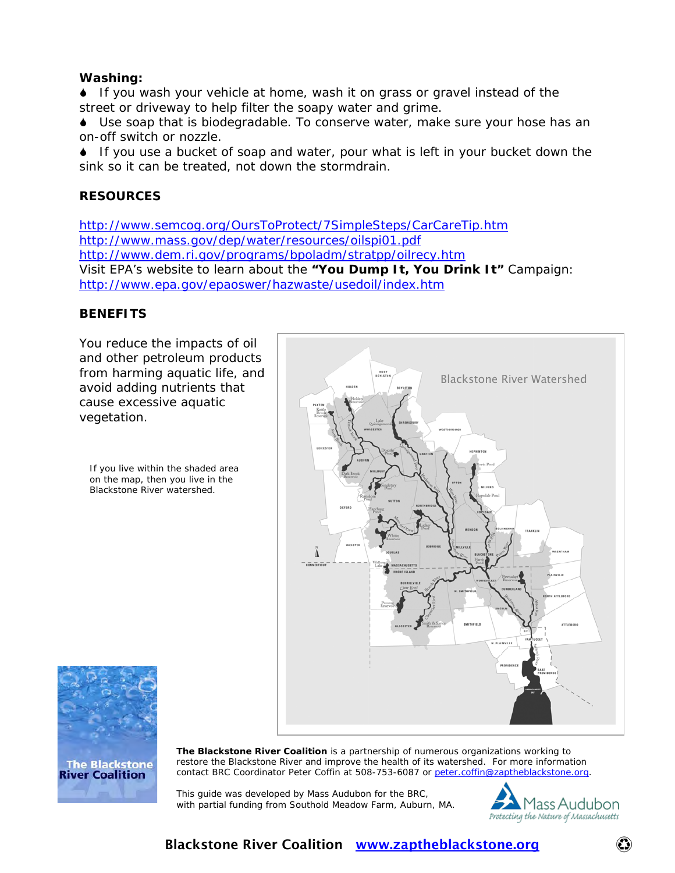#### **Washing:**

6 If you wash your vehicle at home, wash it on grass or gravel instead of the street or driveway to help filter the soapy water and grime.

6 Use soap that is biodegradable. To conserve water, make sure your hose has an on-off switch or nozzle.

6 If you use a bucket of soap and water, pour what is left in your bucket down the sink so it can be treated, not down the stormdrain.

#### **RESOURCES**

<http://www.semcog.org/OursToProtect/7SimpleSteps/CarCareTip.htm> <http://www.mass.gov/dep/water/resources/oilspi01.pdf> <http://www.dem.ri.gov/programs/bpoladm/stratpp/oilrecy.htm> Visit EPA's website to learn about the *"You Dump It, You Drink It"* Campaign: <http://www.epa.gov/epaoswer/hazwaste/usedoil/index.htm>

#### **BENEFITS**

You reduce the impacts of oil and other petroleum products from harming aquatic life, and avoid adding nutrients that cause excessive aquatic vegetation.

If you live within the shaded area on the map, then you live in the Blackstone River watershed.





**The Blackstone River Coalition** is a partnership of numerous organizations working to restore the Blackstone River and improve the health of its watershed. For more information contact BRC Coordinator Peter Coffin at 508-753-6087 or [peter.coffin@zaptheblackstone.org](mailto:peter.coffin@zaptheblackstone.org).

This guide was developed by Mass Audubon for the BRC, with partial funding from Southold Meadow Farm, Auburn, MA.

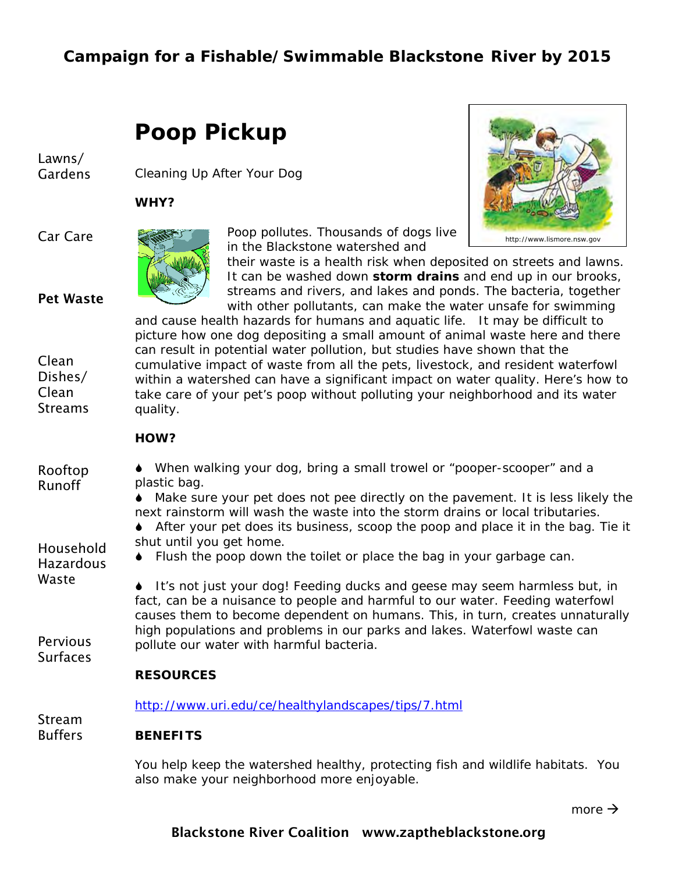# **Poop Pickup**

Lawns/ Gardens

Cleaning Up After Your Dog

**WHY?** 

Car Care

#### Pet Waste

Clean Dishes/ Clean **Streams** 





their waste is a health risk when deposited on streets and lawns. It can be washed down **storm drains** and end up in our brooks, streams and rivers, and lakes and ponds. The bacteria, together with other pollutants, can make the water unsafe for swimming

and cause health hazards for humans and aquatic life. It may be difficult to picture how one dog depositing a small amount of animal waste here and there can result in potential water pollution, but studies have shown that the cumulative impact of waste from all the pets, livestock, and resident waterfowl within a watershed can have a significant impact on water quality. Here's how to take care of your pet's poop without polluting your neighborhood and its water quality.

#### **HOW?**

| Rooftop<br><b>Runoff</b>      | • When walking your dog, bring a small trowel or "pooper-scooper" and a<br>plastic bag.                                                                                                                                                     |
|-------------------------------|---------------------------------------------------------------------------------------------------------------------------------------------------------------------------------------------------------------------------------------------|
|                               | Make sure your pet does not pee directly on the pavement. It is less likely the<br>next rainstorm will wash the waste into the storm drains or local tributaries.                                                                           |
|                               | $\bullet$ After your pet does its business, scoop the poop and place it in the bag. Tie it<br>shut until you get home.                                                                                                                      |
| Household<br><b>Hazardous</b> | Flush the poop down the toilet or place the bag in your garbage can.                                                                                                                                                                        |
| Waste                         | It's not just your dog! Feeding ducks and geese may seem harmless but, in<br>fact, can be a nuisance to people and harmful to our water. Feeding waterfowl<br>causes them to become dependent on humans. This, in turn, creates unnaturally |
| Pervious<br><b>Surfaces</b>   | high populations and problems in our parks and lakes. Waterfowl waste can<br>pollute our water with harmful bacteria.                                                                                                                       |
|                               | <b>RESOURCES</b>                                                                                                                                                                                                                            |
| Stream                        | http://www.uri.edu/ce/healthylandscapes/tips/7.html                                                                                                                                                                                         |
| <b>Buffers</b>                | <b>BENEFITS</b>                                                                                                                                                                                                                             |
|                               | You help keep the watershed healthy, protecting fish and wildlife habitats. You<br>also make your neighborhood more enjoyable.                                                                                                              |

**b**  $\rightarrow$  **more**  $\rightarrow$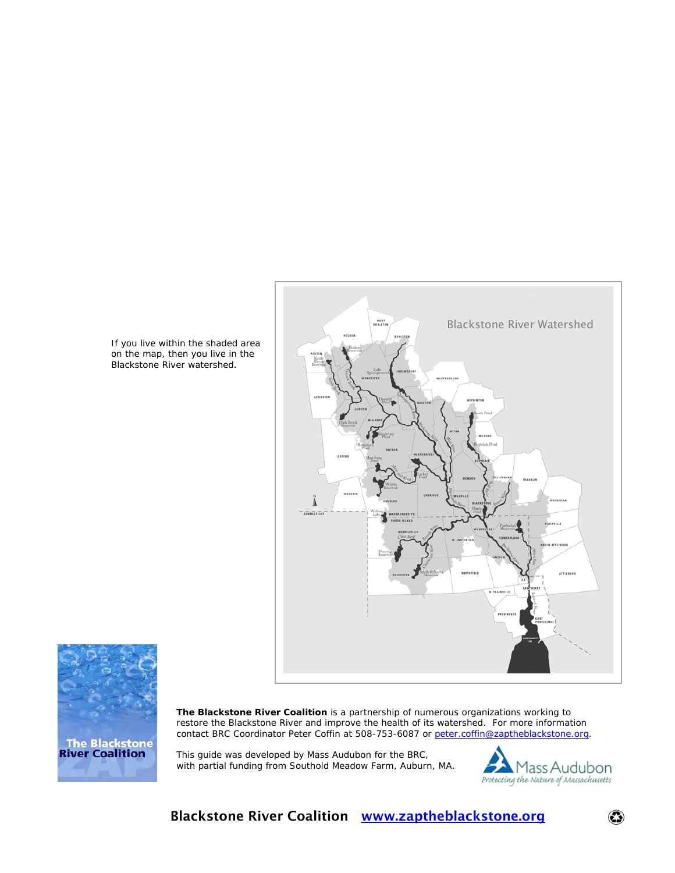Blackstone River Watershed





**The Blackstone River Coalition** is a partnership of numerous organizations working to restore the Blackstone River and improve the health of its watershed. For more information contact BRC Coordinator Peter Coffin at 508-753-6087 or [peter.coffin@zaptheblackstone.org](mailto:peter.coffin@zaptheblackstone.org).

This guide was developed by Mass Audubon for the BRC, with partial funding from Southold Meadow Farm, Auburn, MA.



 $\odot$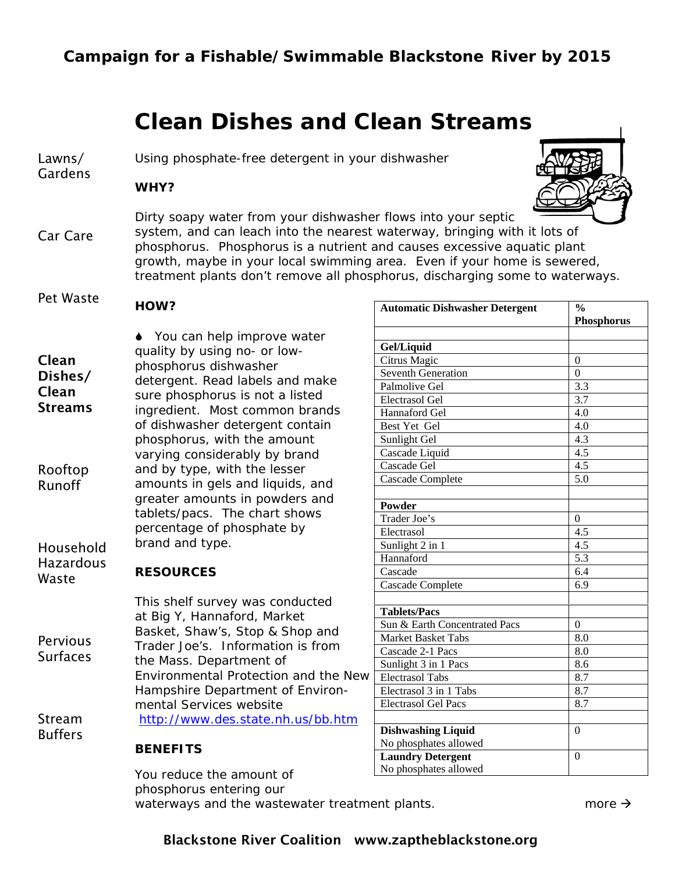# **Clean Dishes and Clean Streams**

Lawns/ Using phosphate-free detergent in your dishwasher

Gardens

**WHY?** 



Car Care Dirty soapy water from your dishwasher flows into your septic system, and can leach into the nearest waterway, bringing with it lots of phosphorus. Phosphorus is a nutrient and causes excessive aquatic plant growth, maybe in your local swimming area. Even if your home is sewered, treatment plants don't remove all phosphorus, discharging some to waterways.

#### Pet Waste **HOW?**

| Clean<br>Dishes/<br>Clean<br><b>Streams</b> | ♦ You can help improve water<br>quality by using no- or low-<br>phosphorus dishwasher<br>detergent. Read labels and make<br>sure phosphorus is not a listed<br>ingredient. Most common brands<br>of dishwasher detergent contain<br>phosphorus, with the amount |
|---------------------------------------------|-----------------------------------------------------------------------------------------------------------------------------------------------------------------------------------------------------------------------------------------------------------------|
| Rooftop<br>Runoff                           | varying considerably by brand<br>and by type, with the lesser<br>amounts in gels and liquids, and<br>greater amounts in powders and<br>tablets/pacs. The chart shows<br>percentage of phosphate by                                                              |
| Household<br><b>Hazardous</b>               | brand and type.                                                                                                                                                                                                                                                 |

### **RESOURCES**

Waste

Buffers

|                      | This shelf survey was conducted      |
|----------------------|--------------------------------------|
| Pervious<br>Surfaces | at Big Y, Hannaford, Market          |
|                      | Basket, Shaw's, Stop & Shop and      |
|                      | Trader Joe's. Information is from    |
|                      | the Mass. Department of              |
|                      | Environmental Protection and the New |
|                      | Hampshire Department of Environ-     |
|                      | mental Services website              |
| Stream               | http://www.des.state.nh.us/bb.htm    |

#### **BENEFITS**

You reduce the amount of phosphorus entering our waterways and the wastewater treatment plants.  $\Box$  more  $\rightarrow$ 

| <b>Automatic Dishwasher Detergent</b> | $\frac{0}{0}$     |
|---------------------------------------|-------------------|
|                                       | <b>Phosphorus</b> |
|                                       |                   |
| Gel/Liquid                            |                   |
| Citrus Magic                          | $\theta$          |
| <b>Seventh Generation</b>             | $\theta$          |
| Palmolive Gel                         | 3.3               |
| Electrasol Gel                        | 3.7               |
| Hannaford Gel                         | 4.0               |
| Best Yet Gel                          | 4.0               |
| Sunlight Gel                          | 4.3               |
| Cascade Liquid                        | $4.\overline{5}$  |
| Cascade Gel                           | 4.5               |
| Cascade Complete                      | 5.0               |
|                                       |                   |
| Powder                                |                   |
| Trader Joe's                          | $\theta$          |
| Electrasol                            | 4.5               |
| Sunlight 2 in 1                       | 4.5               |
| Hannaford                             | $\overline{5.3}$  |
| Cascade                               | 6.4               |
| Cascade Complete                      | 6.9               |
|                                       |                   |
| <b>Tablets/Pacs</b>                   |                   |
| Sun & Earth Concentrated Pacs         | $\overline{0}$    |
| <b>Market Basket Tabs</b>             | 8.0               |
| Cascade 2-1 Pacs                      | 8.0               |
| Sunlight 3 in 1 Pacs                  | 8.6               |
| <b>Electrasol Tabs</b>                | 8.7               |
| Electrasol 3 in 1 Tabs                | 8.7               |
| <b>Electrasol Gel Pacs</b>            | 8.7               |
|                                       |                   |
| <b>Dishwashing Liquid</b>             | $\theta$          |
| No phosphates allowed                 |                   |
| <b>Laundry Detergent</b>              | $\mathbf{0}$      |
| No phosphates allowed                 |                   |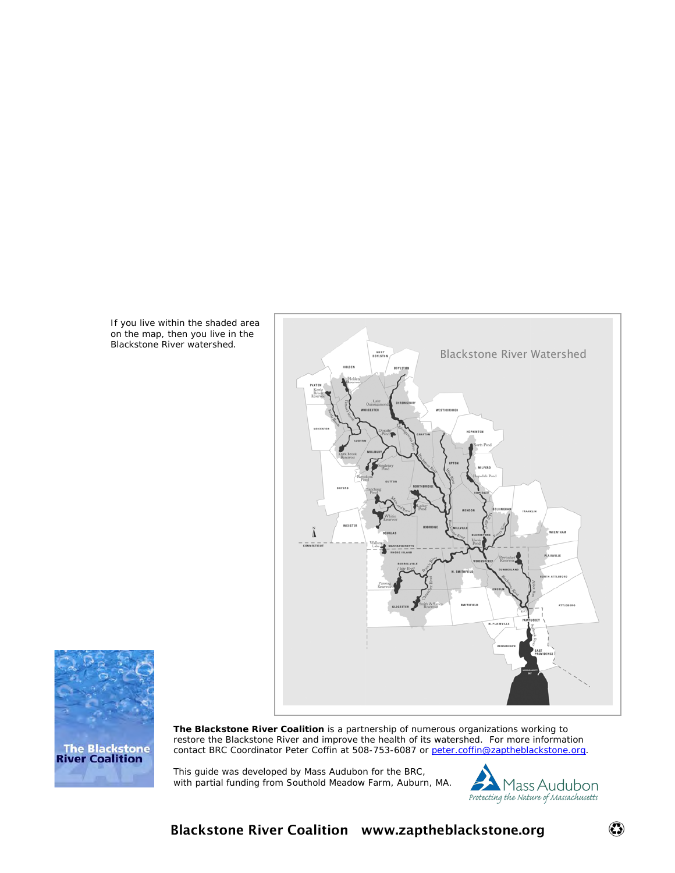If you live within the shaded area on the map, then you live in the Blackstone River watershed.





**The Blackstone River Coalition** is a partnership of numerous organizations working to restore the Blackstone River and improve the health of its watershed. For more information contact BRC Coordinator Peter Coffin at 508-753-6087 or [peter.coffin@zaptheblackstone.org.](mailto:peter.coffin@zaptheblackstone.org)

This guide was developed by Mass Audubon for the BRC, with partial funding from Southold Meadow Farm, Auburn, MA.

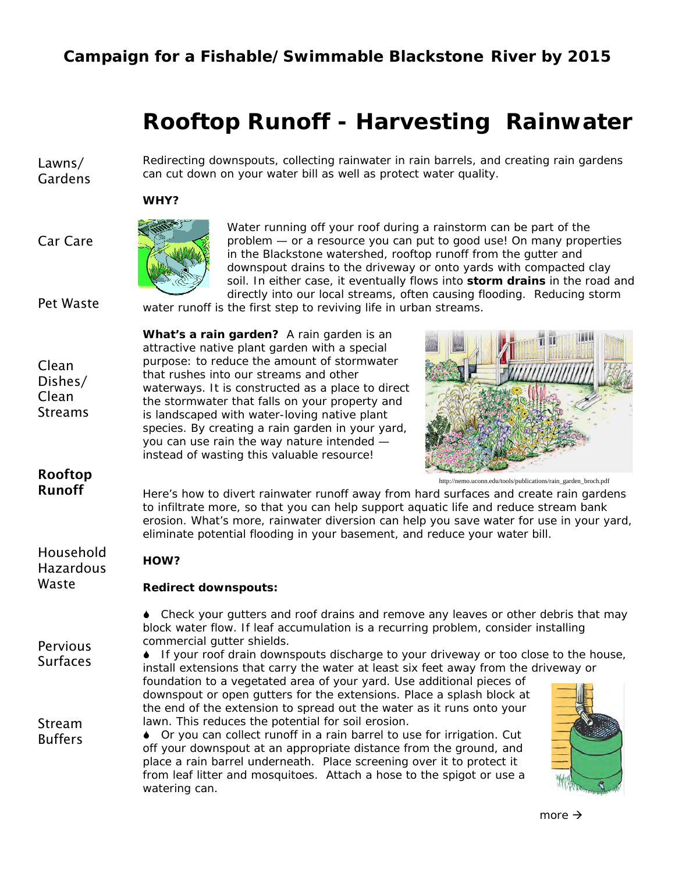# **Rooftop Runoff - Harvesting Rainwater**

Lawns/ Gardens

Car Care

Redirecting downspouts, collecting rainwater in rain barrels, and creating rain gardens can cut down on your water bill as well as protect water quality.

#### **WHY?**



Water running off your roof during a rainstorm can be part of the problem — or a resource you can put to good use! On many properties in the Blackstone watershed, rooftop runoff from the gutter and downspout drains to the driveway or onto yards with compacted clay soil. In either case, it eventually flows into **storm drains** in the road and directly into our local streams, often causing flooding. Reducing storm water runoff is the first step to reviving life in urban streams.

Pet Waste

Clean Dishes/ Clean **Streams**  **What's a rain garden?** A rain garden is an attractive native plant garden with a special purpose: to reduce the amount of stormwater that rushes into our streams and other waterways. It is constructed as a place to direct the stormwater that falls on your property and is landscaped with water-loving native plant species. By creating a rain garden in your yard, you can use rain the way nature intended instead of wasting this valuable resource!



#### Rooftop Runoff

Household

Pervious

Stream Buffers http://nemo.uconn.edu/tools/publications/rain\_garden\_broch.pdf

Here's how to divert rainwater runoff away from hard surfaces and create rain gardens to infiltrate more, so that you can help support aquatic life and reduce stream bank erosion. What's more, rainwater diversion can help you save water for use in your yard, eliminate potential flooding in your basement, and reduce your water bill.

| 11003611010      | HOW?   |
|------------------|--------|
| <b>Hazardous</b> |        |
| Waste            | Dodiro |

**Redirect downspouts:** 

6 Check your gutters and roof drains and remove any leaves or other debris that may block water flow. If leaf accumulation is a recurring problem, consider installing commercial gutter shields.

Surfaces 6 If your roof drain downspouts discharge to your driveway or too close to the house, install extensions that carry the water at least six feet away from the driveway or

> foundation to a vegetated area of your yard. Use additional pieces of downspout or open gutters for the extensions. Place a splash block at the end of the extension to spread out the water as it runs onto your lawn. This reduces the potential for soil erosion.

6 Or you can collect runoff in a rain barrel to use for irrigation. Cut off your downspout at an appropriate distance from the ground, and place a rain barrel underneath. Place screening over it to protect it from leaf litter and mosquitoes. Attach a hose to the spigot or use a watering can.

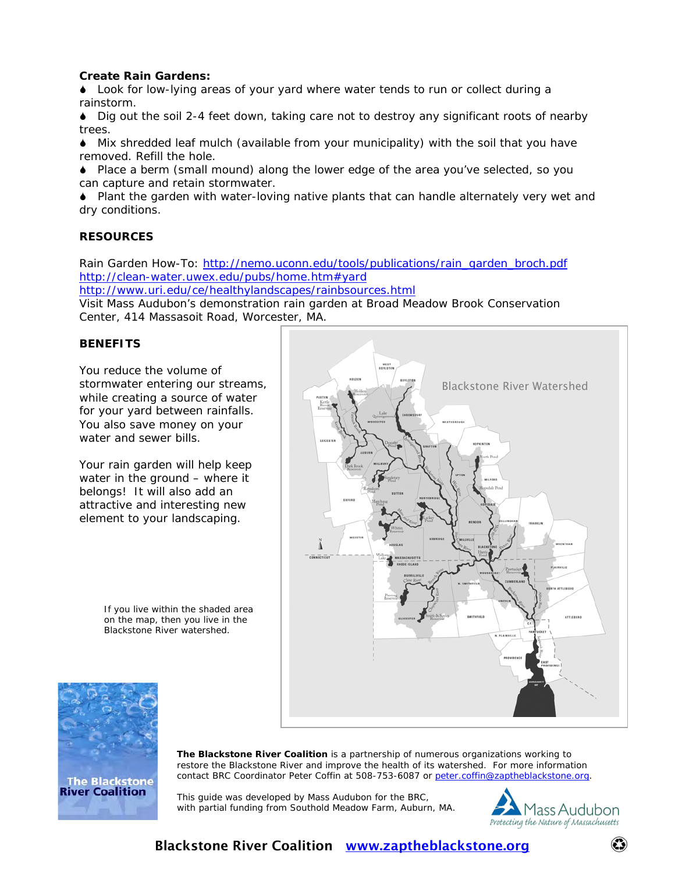#### **Create Rain Gardens:**

6 Look for low-lying areas of your yard where water tends to run or collect during a rainstorm.

6 Dig out the soil 2-4 feet down, taking care not to destroy any significant roots of nearby trees.

6 Mix shredded leaf mulch (available from your municipality) with the soil that you have removed. Refill the hole.

6 Place a berm (small mound) along the lower edge of the area you've selected, so you can capture and retain stormwater.

6 Plant the garden with water-loving native plants that can handle alternately very wet and dry conditions.

#### **RESOURCES**

Rain Garden How-To: [http://nemo.uconn.edu/tools/publications/rain\\_garden\\_broch.pdf](http://nemo.uconn.edu/tools/publications/rain_garden_broch.pdf)  http://clean-water.uwex.edu/pubs/home.htm#yard

<http://www.uri.edu/ce/healthylandscapes/rainbsources.html>

Visit Mass Audubon's demonstration rain garden at Broad Meadow Brook Conservation Center, 414 Massasoit Road, Worcester, MA.

#### **BENEFITS**

You reduce the volume of stormwater entering our streams, while creating a source of water for your yard between rainfalls. You also save money on your water and sewer bills.

Your rain garden will help keep water in the ground – where it belongs! It will also add an attractive and interesting new element to your landscaping.

> If you live within the shaded area on the map, then you live in the Blackstone River watershed.





**The Blackstone River Coalition** is a partnership of numerous organizations working to restore the Blackstone River and improve the health of its watershed. For more information contact BRC Coordinator Peter Coffin at 508-753-6087 or [peter.coffin@zaptheblackstone.org.](mailto:peter.coffin@zaptheblackstone.org)

This guide was developed by Mass Audubon for the BRC, with partial funding from Southold Meadow Farm, Auburn, MA.



### Blackstone River Coalition [www.zaptheblackstone.org](http://www.zaptheblackstone.org/)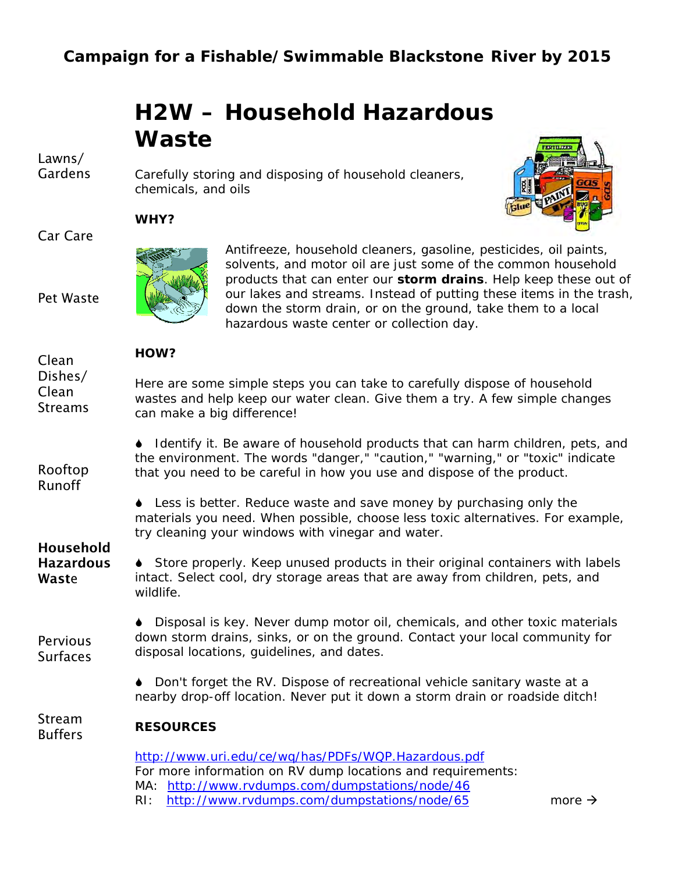# **H2W – Household Hazardous Waste**

Carefully storing and disposing of household cleaners,

Lawns/ Gardens

Car Care

Pet Waste

#### **WHY?**



chemicals, and oils

Antifreeze, household cleaners, gasoline, pesticides, oil paints, solvents, and motor oil are just some of the common household products that can enter our **storm drains**. Help keep these out of our lakes and streams. Instead of putting these items in the trash, down the storm drain, or on the ground, take them to a local hazardous waste center or collection day.

### $H \cap T$

| Clean                                                                     | HOW?                                                                                                                                                                                                                                      |
|---------------------------------------------------------------------------|-------------------------------------------------------------------------------------------------------------------------------------------------------------------------------------------------------------------------------------------|
| Dishes/<br>Clean<br><b>Streams</b>                                        | Here are some simple steps you can take to carefully dispose of household<br>wastes and help keep our water clean. Give them a try. A few simple changes<br>can make a big difference!                                                    |
| Rooftop<br>Runoff<br><b>Household</b><br><b>Hazardous</b><br><b>Waste</b> | Identify it. Be aware of household products that can harm children, pets, and<br>the environment. The words "danger," "caution," "warning," or "toxic" indicate<br>that you need to be careful in how you use and dispose of the product. |
|                                                                           | • Less is better. Reduce waste and save money by purchasing only the<br>materials you need. When possible, choose less toxic alternatives. For example,<br>try cleaning your windows with vinegar and water.                              |
|                                                                           | Store properly. Keep unused products in their original containers with labels<br>intact. Select cool, dry storage areas that are away from children, pets, and<br>wildlife.                                                               |
| Pervious<br><b>Surfaces</b>                                               | Disposal is key. Never dump motor oil, chemicals, and other toxic materials<br>down storm drains, sinks, or on the ground. Contact your local community for<br>disposal locations, guidelines, and dates.                                 |
|                                                                           | Don't forget the RV. Dispose of recreational vehicle sanitary waste at a<br>nearby drop-off location. Never put it down a storm drain or roadside ditch!                                                                                  |
| Stream<br><b>Buffers</b>                                                  | <b>RESOURCES</b>                                                                                                                                                                                                                          |
|                                                                           | http://www.uri.edu/ce/wq/has/PDFs/WQP.Hazardous.pdf<br>For more information on RV dump locations and requirements:<br>MA: http://www.rvdumps.com/dumpstations/node/46                                                                     |

RI: <http://www.rvdumps.com/dumpstations/node/65>more  $\rightarrow$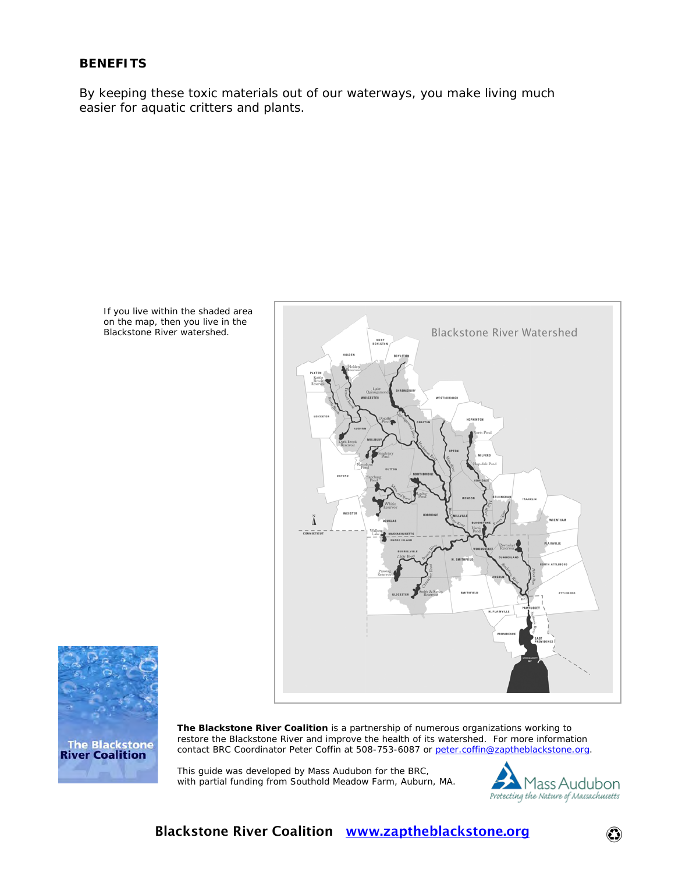#### **BENEFITS**

By keeping these toxic materials out of our waterways, you make living much easier for aquatic critters and plants.







**The Blackstone River Coalition** is a partnership of numerous organizations working to restore the Blackstone River and improve the health of its watershed. For more information contact BRC Coordinator Peter Coffin at 508-753-6087 or [peter.coffin@zaptheblackstone.org.](mailto:peter.coffin@zaptheblackstone.org)

This guide was developed by Mass Audubon for the BRC, with partial funding from Southold Meadow Farm, Auburn, MA.

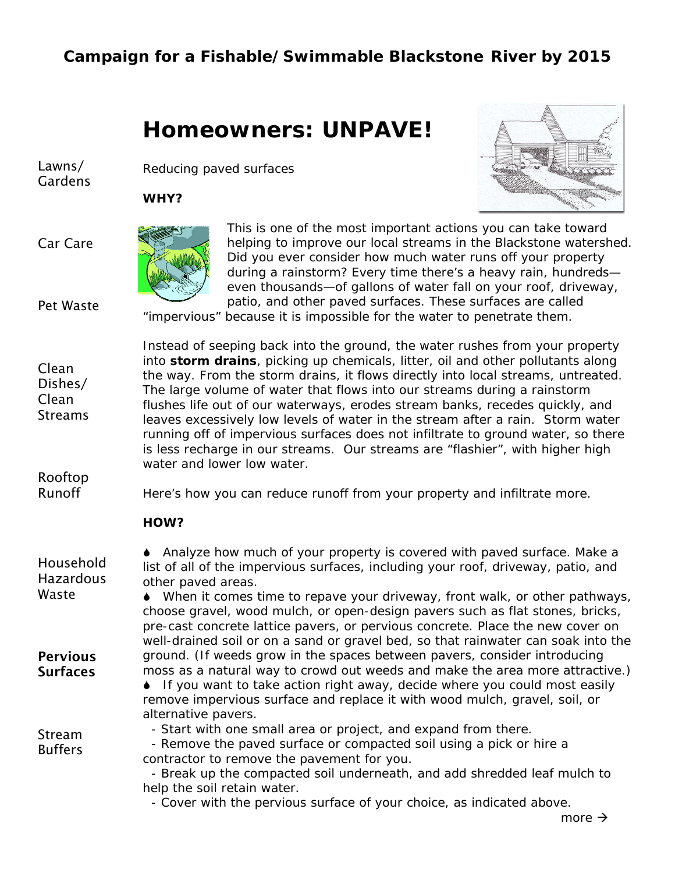# **Homeowners: UNPAVE!**

Lawns/ Gardens

**WHY?**



Car Care



Reducing paved surfaces

water and lower low water

This is one of the most important actions you can take toward helping to improve our local streams in the Blackstone watershed. Did you ever consider how much water runs off your property during a rainstorm? Every time there's a heavy rain, hundreds even thousands—of gallons of water fall on your roof, driveway, patio, and other paved surfaces. These surfaces are called

Pet Waste

"impervious" because it is impossible for the water to penetrate them. Instead of seeping back into the ground, the water rushes from your property

into **storm drains**, picking up chemicals, litter, oil and other pollutants along the way. From the storm drains, it flows directly into local streams, untreated. The large volume of water that flows into our streams during a rainstorm flushes life out of our waterways, erodes stream banks, recedes quickly, and leaves excessively low levels of water in the stream after a rain. Storm water running off of impervious surfaces does not infiltrate to ground water, so there is less recharge in our streams. Our streams are "flashier", with higher high

Clean Dishes/ Clean **Streams** 

Rooftop Runoff

Here's how you can reduce runoff from your property and infiltrate more.

#### **HOW?**

| Household<br><b>Hazardous</b> | Analyze how much of your property is covered with paved surface. Make a<br>list of all of the impervious surfaces, including your roof, driveway, patio, and<br>other paved areas.                                                                                                                                                   |
|-------------------------------|--------------------------------------------------------------------------------------------------------------------------------------------------------------------------------------------------------------------------------------------------------------------------------------------------------------------------------------|
| Waste                         | • When it comes time to repave your driveway, front walk, or other pathways,<br>choose gravel, wood mulch, or open-design pavers such as flat stones, bricks,<br>pre-cast concrete lattice pavers, or pervious concrete. Place the new cover on<br>well-drained soil or on a sand or gravel bed, so that rainwater can soak into the |
| <b>Pervious</b>               | ground. (If weeds grow in the spaces between pavers, consider introducing                                                                                                                                                                                                                                                            |
| <b>Surfaces</b>               | moss as a natural way to crowd out weeds and make the area more attractive.)<br>• If you want to take action right away, decide where you could most easily<br>remove impervious surface and replace it with wood mulch, gravel, soil, or<br>alternative pavers.                                                                     |
| Stream                        | - Start with one small area or project, and expand from there.                                                                                                                                                                                                                                                                       |
| <b>Buffers</b>                | - Remove the paved surface or compacted soil using a pick or hire a                                                                                                                                                                                                                                                                  |
|                               | contractor to remove the pavement for you.                                                                                                                                                                                                                                                                                           |
|                               | - Break up the compacted soil underneath, and add shredded leaf mulch to                                                                                                                                                                                                                                                             |
|                               | help the soil retain water.                                                                                                                                                                                                                                                                                                          |
|                               | Couse with the nemipue ourface of your abojec, as indicated above                                                                                                                                                                                                                                                                    |

- Cover with the pervious surface of your choice, as indicated above.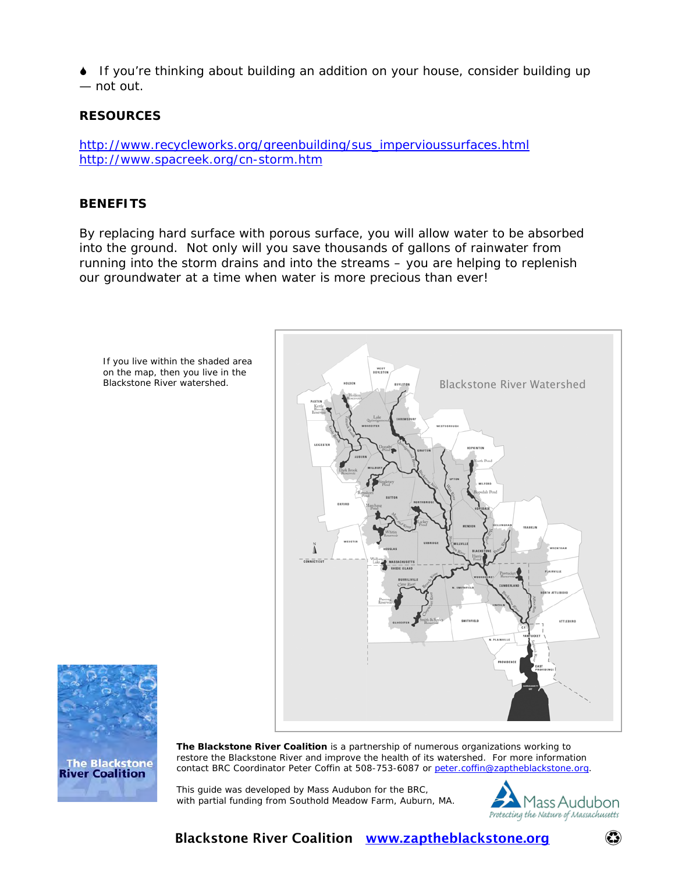If you're thinking about building an addition on your house, consider building up — not out.

#### **RESOURCES**

[http://www.recycleworks.org/greenbuilding/sus\\_impervioussurfaces.html](http://www.recycleworks.org/greenbuilding/sus_impervioussurfaces.html) <http://www.spacreek.org/cn-storm.htm>

#### **BENEFITS**

By replacing hard surface with porous surface, you will allow water to be absorbed into the ground. Not only will you save thousands of gallons of rainwater from running into the storm drains and into the streams – you are helping to replenish our groundwater at a time when water is more precious than ever!





**The Blackstone River Coalition** is a partnership of numerous organizations working to restore the Blackstone River and improve the health of its watershed. For more information contact BRC Coordinator Peter Coffin at 508-753-6087 or [peter.coffin@zaptheblackstone.org](mailto:peter.coffin@zaptheblackstone.org).

This guide was developed by Mass Audubon for the BRC, with partial funding from Southold Meadow Farm, Auburn, MA.

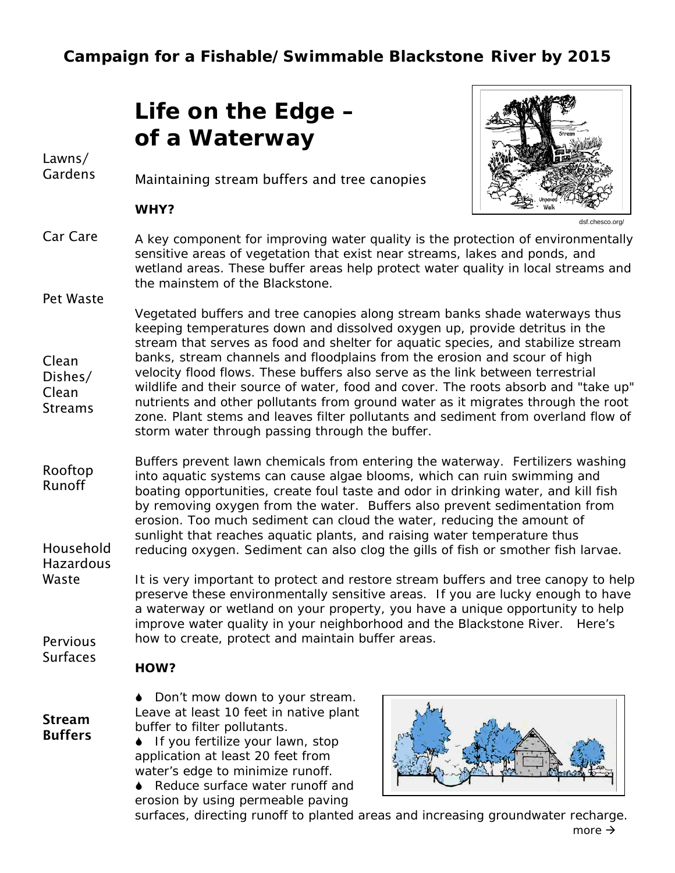# **Life on the Edge – of a Waterway**

Lawns/ **Gardens** 

Pet Waste

Maintaining stream buffers and tree canopies

#### **WHY?**



dsf.chesco.org/

- Car Care A key component for improving water quality is the protection of environmentally sensitive areas of vegetation that exist near streams, lakes and ponds, and wetland areas. These buffer areas help protect water quality in local streams and the mainstem of the Blackstone.
- Clean Dishes/ Clean **Streams** Vegetated buffers and tree canopies along stream banks shade waterways thus keeping temperatures down and dissolved oxygen up, provide detritus in the stream that serves as food and shelter for aquatic species, and stabilize stream banks, stream channels and floodplains from the erosion and scour of high velocity flood flows. These buffers also serve as the link between terrestrial wildlife and their source of water, food and cover. The roots absorb and "take up" nutrients and other pollutants from ground water as it migrates through the root zone. Plant stems and leaves filter pollutants and sediment from overland flow of storm water through passing through the buffer.
- Rooftop Runoff Household Hazardous Buffers prevent lawn chemicals from entering the waterway. Fertilizers washing into aquatic systems can cause algae blooms, which can ruin swimming and boating opportunities, create foul taste and odor in drinking water, and kill fish by removing oxygen from the water. Buffers also prevent sedimentation from erosion. Too much sediment can cloud the water, reducing the amount of sunlight that reaches aquatic plants, and raising water temperature thus reducing oxygen. Sediment can also clog the gills of fish or smother fish larvae.
- Waste **Pervious** It is very important to protect and restore stream buffers and tree canopy to help preserve these environmentally sensitive areas. If you are lucky enough to have a waterway or wetland on your property, you have a unique opportunity to help improve water quality in your neighborhood and the Blackstone River. Here's how to create, protect and maintain buffer areas.

**Surfaces** 

Stream Buffers

### **HOW?**

◆ Don't mow down to your stream. Leave at least 10 feet in native plant buffer to filter pollutants.

◆ If you fertilize your lawn, stop application at least 20 feet from water's edge to minimize runoff.

♦ Reduce surface water runoff and erosion by using permeable paving



surfaces, directing runoff to planted areas and increasing groundwater recharge. more  $\rightarrow$